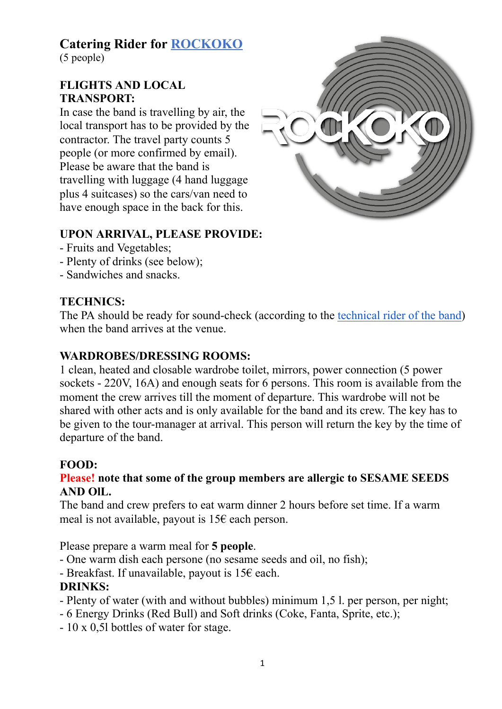# **Catering Rider for [ROCKOKO](http://www.rockoko.com.ua/)**

(5 people)

#### **FLIGHTS AND LOCAL TRANSPORT:**

In case the band is travelling by air, the local transport has to be provided by the contractor. The travel party counts 5 people (or more confirmed by email). Please be aware that the band is travelling with luggage (4 hand luggage plus 4 suitcases) so the cars/van need to have enough space in the back for this.



# **UPON ARRIVAL, PLEASE PROVIDE:**

- Fruits and Vegetables;
- Plenty of drinks (see below);
- Sandwiches and snacks.

# **TECHNICS:**

The PA should be ready for sound-check (according to the [technical rider of the band](http://rockoko.com.ua/wp-content/uploads/2021/04/ROCKOKO-Full-Technical-Rider.pdf)[\)](http://rockoko.com.ua/wp-content/uploads/2021/04/ROCKOKO-Full-Technical-Rider.pdf) when the band arrives at the venue.

## **WARDROBES/DRESSING ROOMS:**

1 clean, heated and closable wardrobe toilet, mirrors, power connection (5 power sockets - 220V, 16A) and enough seats for 6 persons. This room is available from the moment the crew arrives till the moment of departure. This wardrobe will not be shared with other acts and is only available for the band and its crew. The key has to be given to the tour-manager at arrival. This person will return the key by the time of departure of the band.

## **FOOD:**

## **Please! note that some of the group members are allergic to SESAME SEEDS AND OlL.**

The band and crew prefers to eat warm dinner 2 hours before set time. If a warm meal is not available, payout is  $15\epsilon$  each person.

Please prepare a warm meal for **5 people**.

- One warm dish each persone (no sesame seeds and oil, no fish);
- Breakfast. If unavailable, payout is  $15 \epsilon$  each.

# **DRINKS:**

- Plenty of water (with and without bubbles) minimum 1,5 l. per person, per night;
- 6 Energy Drinks (Red Bull) and Soft drinks (Coke, Fanta, Sprite, etc.);
- 10 x 0,5l bottles of water for stage.